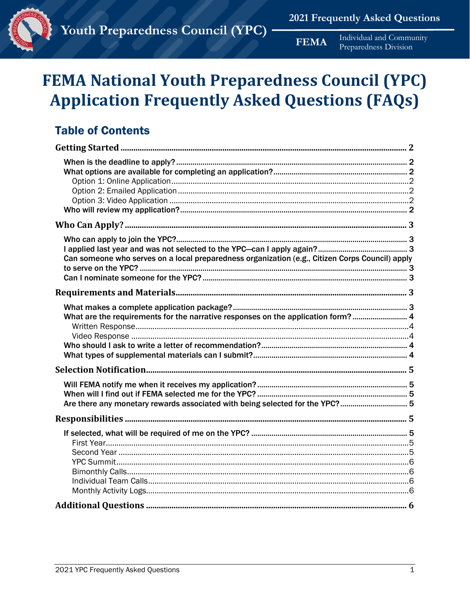

# **FEMA National Youth Preparedness Council (YPC) Application Frequently Asked Questions (FAQs)**

# **Table of Contents**

| Can someone who serves on a local preparedness organization (e.g., Citizen Corps Council) apply |
|-------------------------------------------------------------------------------------------------|
|                                                                                                 |
| What are the requirements for the narrative responses on the application form? 4                |
|                                                                                                 |
| Are there any monetary rewards associated with being selected for the YPC? 5                    |
|                                                                                                 |
|                                                                                                 |
|                                                                                                 |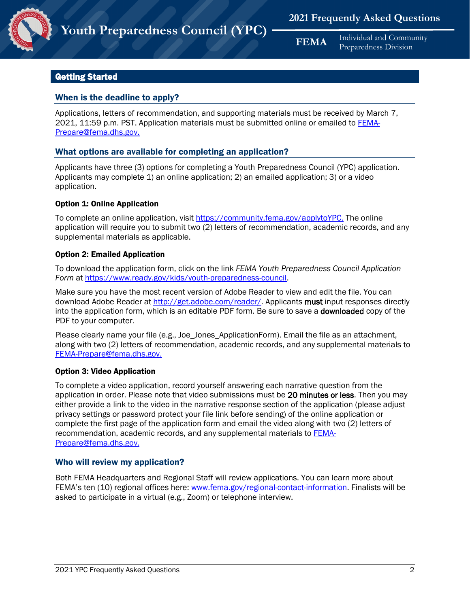

# <span id="page-1-0"></span>Getting Started

# <span id="page-1-1"></span>When is the deadline to apply?

Applications, letters of recommendation, and supporting materials must be received by March 7, 2021, 11:59 p.m. PST. Application materials must be submitted online or emailed to **FEMA-**Prepare@fema.dhs.gov.

# <span id="page-1-2"></span>What options are available for completing an application?

Applicants have three (3) options for completing a Youth Preparedness Council (YPC) application. Applicants may complete 1) an online application; 2) an emailed application; 3) or a video application.

#### <span id="page-1-3"></span>Option 1: Online Application

To complete an online application, visit<https://community.fema.gov/applytoYPC.> The online application will require you to submit two (2) letters of recommendation, academic records, and any supplemental materials as applicable.

#### <span id="page-1-4"></span>Option 2: Emailed Application

To download the application form, click on the link *FEMA Youth Preparedness Council Application Form* a[t https://www.ready.gov/kids/youth-preparedness-council.](https://www.ready.gov/kids/youth-preparedness-council)

Make sure you have the most recent version of Adobe Reader to view and edit the file. You can download Adobe Reader at [http://get.adobe.com/reader/. A](http://get.adobe.com/reader/)pplicants must input responses directly into the application form, which is an editable PDF form. Be sure to save a downloaded copy of the PDF to your computer.

Please clearly name your file (e.g., Joe\_Jones\_ApplicationForm). Email the file as an attachment, along with two (2) letters of recommendation, academic records, and any supplemental materials to [FEMA-Prepare@fema.dhs.gov.](mailto:FEMA-Prepare@fema.dhs.gov)

# <span id="page-1-5"></span>Option 3: Video Application

To complete a video application, record yourself answering each narrative question from the application in order. Please note that video submissions must be 20 minutes or less. Then you may either provide a link to the video in the narrative response section of the application (please adjust privacy settings or password protect your file link before sending) of the online application or complete the first page of the application form and email the video along with two (2) letters of recommendation, academic records, and any supplemental materials to **FEMA-**[Prepare@fema.dhs.gov.](mailto:FEMA-Prepare@fema.dhs.gov)

# <span id="page-1-6"></span>Who will review my application?

Both FEMA Headquarters and Regional Staff will review applications. You can learn more about FEMA's ten (10) regional offices here: [www.fema.gov/regional-contact-information.](http://www.fema.gov/regional-contact-information) Finalists will be asked to participate in a virtual (e.g., Zoom) or telephone interview.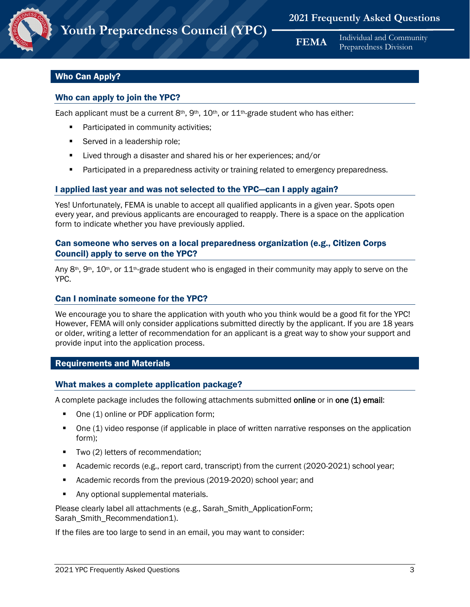# <span id="page-2-0"></span>Who Can Apply?

# <span id="page-2-1"></span>Who can apply to join the YPC?

Each applicant must be a current  $8<sup>th</sup>$ ,  $9<sup>th</sup>$ ,  $10<sup>th</sup>$ , or  $11<sup>th</sup>$ -grade student who has either:

- **Participated in community activities;**
- Served in a leadership role;
- **EXECT** Lived through a disaster and shared his or her experiences; and/or
- **Participated in a preparedness activity or training related to emergency preparedness.**

# <span id="page-2-2"></span>I applied last year and was not selected to the YPC—can I apply again?

Yes! Unfortunately, FEMA is unable to accept all qualified applicants in a given year. Spots open every year, and previous applicants are encouraged to reapply. There is a space on the application form to indicate whether you have previously applied.

# <span id="page-2-3"></span>Can someone who serves on a local preparedness organization (e.g., Citizen Corps Council) apply to serve on the YPC?

Any  $8<sup>th</sup>$ ,  $9<sup>th</sup>$ ,  $10<sup>th</sup>$ , or  $11<sup>th</sup>$ -grade student who is engaged in their community may apply to serve on the YPC.

# <span id="page-2-4"></span>Can I nominate someone for the YPC?

We encourage you to share the application with youth who you think would be a good fit for the YPC! However, FEMA will only consider applications submitted directly by the applicant. If you are 18 years or older, writing a letter of recommendation for an applicant is a great way to show your support and provide input into the application process.

# <span id="page-2-5"></span>Requirements and Materials

#### <span id="page-2-6"></span>What makes a complete application package?

A complete package includes the following attachments submitted online or in one (1) email:

- One (1) online or PDF application form;
- One (1) video response (if applicable in place of written narrative responses on the application form);
- **Two (2) letters of recommendation;**
- Academic records (e.g., report card, transcript) from the current (2020-2021) school year;
- Academic records from the previous (2019-2020) school year; and
- Any optional supplemental materials.

Please clearly label all attachments (e.g., Sarah\_Smith\_ApplicationForm; Sarah Smith Recommendation1).

If the files are too large to send in an email, you may want to consider: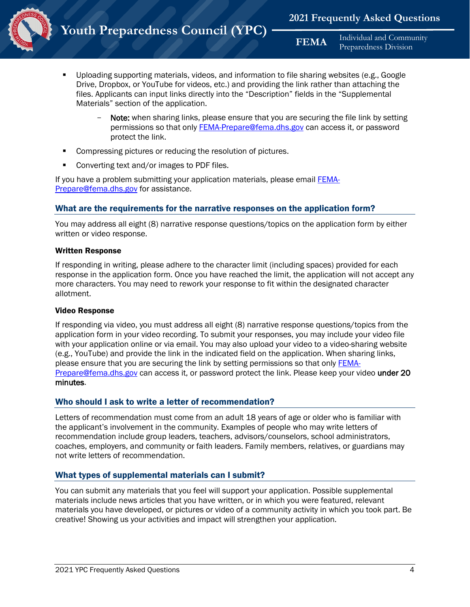

- Uploading supporting materials, videos, and information to file sharing websites (e.g., Google Drive, Dropbox, or YouTube for videos, etc.) and providing the link rather than attaching the files. Applicants can input links directly into the "Description" fields in the "Supplemental Materials" section of the application.
	- Note: when sharing links, please ensure that you are securing the file link by setting permissions so that only [FEMA-Prepare@fema.dhs.gov](file://FEMA.NET/HQSS/PNPHOME1/skrska/Youth/1.%20FOR%20REVIEW%20DEC%203%202018/YPCAppMaterials20181130/FEMA-Prepare@fema.dhs.gov) can access it, or password protect the link.
- Compressing pictures or reducing the resolution of pictures.
- Converting text and/or images to PDF files.

If you have a problem submitting your application materials, please email [FEMA-](file://FEMA.NET/HQSS/PNPHOME1/skrska/Youth/1.%20FOR%20REVIEW%20DEC%203%202018/YPCAppMaterials20181130/FEMA-Prepare@fema.dhs.gov)[Prepare@fema.dhs.gov](file://FEMA.NET/HQSS/PNPHOME1/skrska/Youth/1.%20FOR%20REVIEW%20DEC%203%202018/YPCAppMaterials20181130/FEMA-Prepare@fema.dhs.gov) for assistance.

# <span id="page-3-0"></span>What are the requirements for the narrative responses on the application form?

You may address all eight (8) narrative response questions/topics on the application form by either written or video response.

#### <span id="page-3-1"></span>Written Response

If responding in writing, please adhere to the character limit (including spaces) provided for each response in the application form. Once you have reached the limit, the application will not accept any more characters. You may need to rework your response to fit within the designated character allotment.

#### <span id="page-3-2"></span>Video Response

If responding via video, you must address all eight (8) narrative response questions/topics from the application form in your video recording. To submit your responses, you may include your video file with your application online or via email. You may also upload your video to a video-sharing website (e.g., YouTube) and provide the link in the indicated field on the application. When sharing links, please ensure that you are securing the link by setting permissions so that only [FEMA-](file://FEMA.NET/HQSS/PNPHOME1/skrska/Youth/1.%20FOR%20REVIEW%20DEC%203%202018/YPCAppMaterials20181130/FEMA-Prepare@fema.dhs.gov)[Prepare@fema.dhs.gov](file://FEMA.NET/HQSS/PNPHOME1/skrska/Youth/1.%20FOR%20REVIEW%20DEC%203%202018/YPCAppMaterials20181130/FEMA-Prepare@fema.dhs.gov) can access it, or password protect the link. Please keep your video under 20 minutes.

# <span id="page-3-3"></span>Who should I ask to write a letter of recommendation?

Letters of recommendation must come from an adult 18 years of age or older who is familiar with the applicant's involvement in the community. Examples of people who may write letters of recommendation include group leaders, teachers, advisors/counselors, school administrators, coaches, employers, and community or faith leaders. Family members, relatives, or guardians may not write letters of recommendation.

# <span id="page-3-4"></span>What types of supplemental materials can I submit?

You can submit any materials that you feel will support your application. Possible supplemental materials include news articles that you have written, or in which you were featured, relevant materials you have developed, or pictures or video of a community activity in which you took part. Be creative! Showing us your activities and impact will strengthen your application.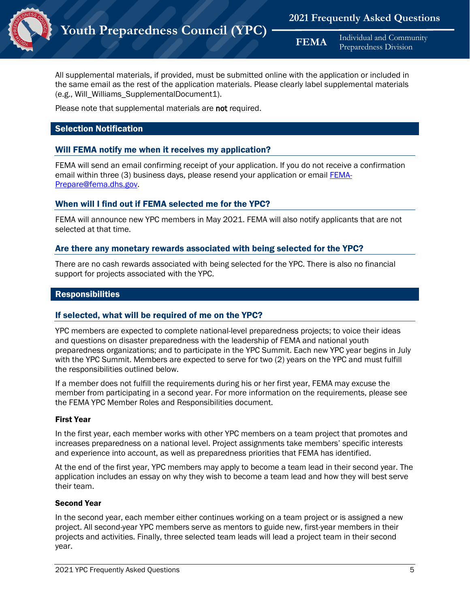

All supplemental materials, if provided, must be submitted online with the application or included in the same email as the rest of the application materials. Please clearly label supplemental materials (e.g., Will\_Williams\_SupplementalDocument1).

Please note that supplemental materials are not required.

# <span id="page-4-0"></span>Selection Notification

# <span id="page-4-1"></span>Will FEMA notify me when it receives my application?

FEMA will send an email confirming receipt of your application. If you do not receive a confirmation email within three (3) business days, please resend your application or email [FEMA-](file://FEMA.NET/HQSS/PNPHOME1/skrska/Youth/1.%20FOR%20REVIEW%20DEC%203%202018/YPCAppMaterials20181130/FEMA-Prepare@fema.dhs.gov)[Prepare@fema.dhs.gov.](file://FEMA.NET/HQSS/PNPHOME1/skrska/Youth/1.%20FOR%20REVIEW%20DEC%203%202018/YPCAppMaterials20181130/FEMA-Prepare@fema.dhs.gov)

# <span id="page-4-2"></span>When will I find out if FEMA selected me for the YPC?

FEMA will announce new YPC members in May 2021. FEMA will also notify applicants that are not selected at that time.

# <span id="page-4-3"></span>Are there any monetary rewards associated with being selected for the YPC?

There are no cash rewards associated with being selected for the YPC. There is also no financial support for projects associated with the YPC.

# <span id="page-4-4"></span>**Responsibilities**

# <span id="page-4-5"></span>If selected, what will be required of me on the YPC?

YPC members are expected to complete national-level preparedness projects; to voice their ideas and questions on disaster preparedness with the leadership of FEMA and national youth preparedness organizations; and to participate in the YPC Summit. Each new YPC year begins in July with the YPC Summit. Members are expected to serve for two (2) years on the YPC and must fulfill the responsibilities outlined below.

If a member does not fulfill the requirements during his or her first year, FEMA may excuse the member from participating in a second year. For more information on the requirements, please see the FEMA YPC Member Roles and Responsibilities document.

#### <span id="page-4-6"></span>First Year

In the first year, each member works with other YPC members on a team project that promotes and increases preparedness on a national level. Project assignments take members' specific interests and experience into account, as well as preparedness priorities that FEMA has identified.

At the end of the first year, YPC members may apply to become a team lead in their second year. The application includes an essay on why they wish to become a team lead and how they will best serve their team.

#### <span id="page-4-7"></span>Second Year

In the second year, each member either continues working on a team project or is assigned a new project. All second-year YPC members serve as mentors to guide new, first-year members in their projects and activities. Finally, three selected team leads will lead a project team in their second year.